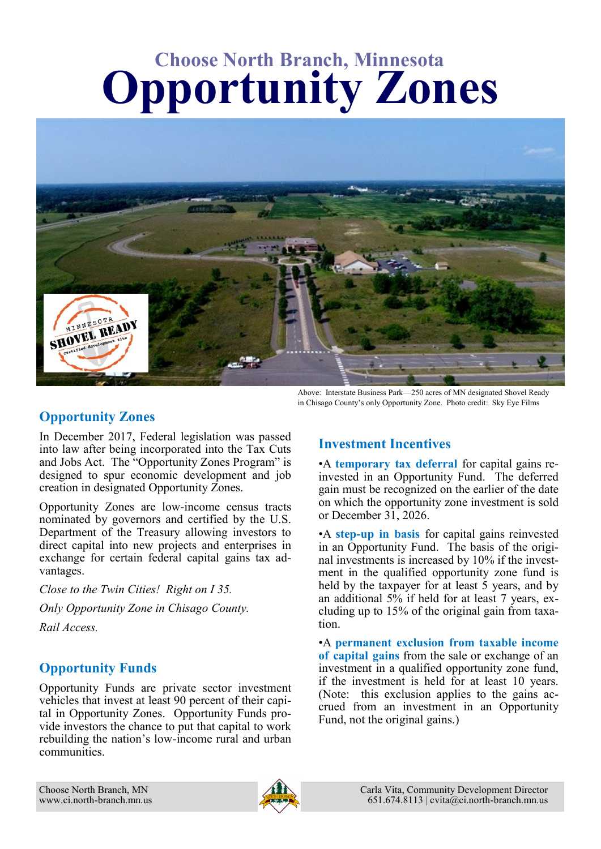# **Choose North Branch, Minnesota Opportunity Zones**



### **Opportunity Zones**

In December 2017, Federal legislation was passed into law after being incorporated into the Tax Cuts and Jobs Act. The "Opportunity Zones Program" is designed to spur economic development and job creation in designated Opportunity Zones.

Opportunity Zones are low-income census tracts nominated by governors and certified by the U.S. Department of the Treasury allowing investors to direct capital into new projects and enterprises in exchange for certain federal capital gains tax advantages.

*Close to the Twin Cities! Right on I 35. Only Opportunity Zone in Chisago County. Rail Access.*

### **Opportunity Funds**

Opportunity Funds are private sector investment vehicles that invest at least 90 percent of their capital in Opportunity Zones. Opportunity Funds provide investors the chance to put that capital to work rebuilding the nation's low-income rural and urban communities.

Above: Interstate Business Park—250 acres of MN designated Shovel Ready in Chisago County's only Opportunity Zone. Photo credit: Sky Eye Films

## **Investment Incentives**

•A **temporary tax deferral** for capital gains reinvested in an Opportunity Fund. The deferred gain must be recognized on the earlier of the date on which the opportunity zone investment is sold or December 31, 2026.

•A **step-up in basis** for capital gains reinvested in an Opportunity Fund. The basis of the original investments is increased by 10% if the investment in the qualified opportunity zone fund is held by the taxpayer for at least 5 years, and by an additional 5% if held for at least 7 years, excluding up to 15% of the original gain from taxation.

•A **permanent exclusion from taxable income of capital gains** from the sale or exchange of an investment in a qualified opportunity zone fund, if the investment is held for at least 10 years. (Note: this exclusion applies to the gains accrued from an investment in an Opportunity Fund, not the original gains.)